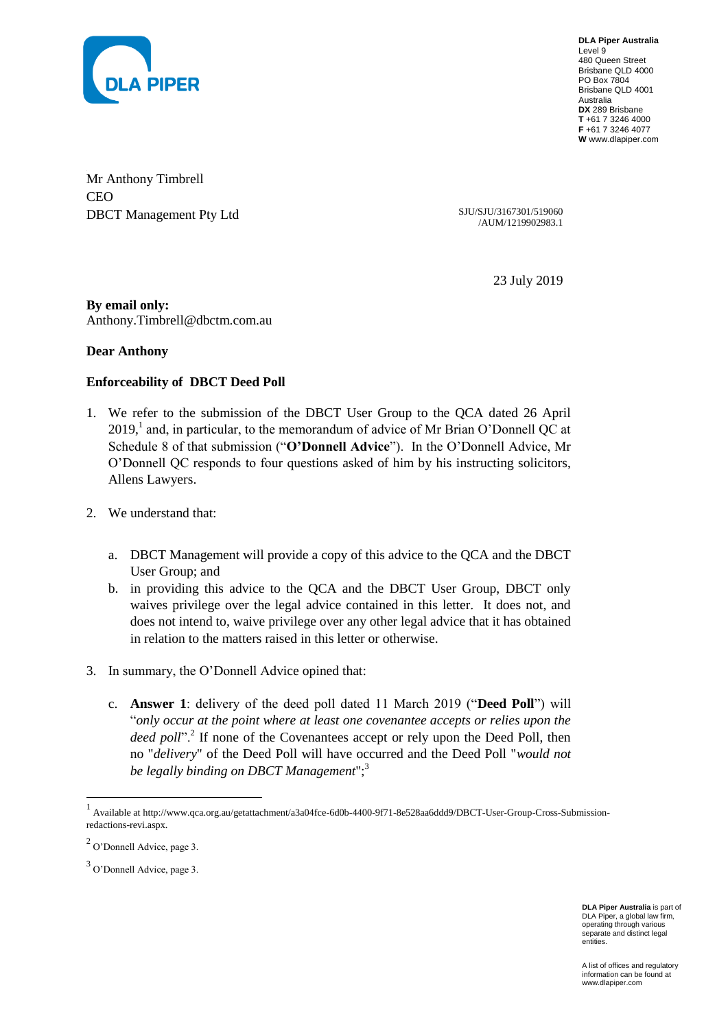

**DLA Piper Australia** Level 9 480 Queen Street Brisbane QLD 4000 PO Box 7804 Brisbane QLD 4001 Australia **DX** 289 Brisbane **T** +61 7 3246 4000 **F** +61 7 3246 4077 **W** www.dlapiper.com

Mr Anthony Timbrell CEO DBCT Management Pty Ltd SJU/SJU/3167301/519060

/AUM/1219902983.1

23 July 2019

**By email only:**  Anthony.Timbrell@dbctm.com.au

**Dear Anthony**

## **Enforceability of DBCT Deed Poll**

- 1. We refer to the submission of the DBCT User Group to the QCA dated 26 April 2019,<sup>1</sup> and, in particular, to the memorandum of advice of Mr Brian O'Donnell QC at Schedule 8 of that submission ("**O'Donnell Advice**"). In the O'Donnell Advice, Mr O'Donnell QC responds to four questions asked of him by his instructing solicitors, Allens Lawyers.
- 2. We understand that:
	- a. DBCT Management will provide a copy of this advice to the QCA and the DBCT User Group; and
	- b. in providing this advice to the QCA and the DBCT User Group, DBCT only waives privilege over the legal advice contained in this letter. It does not, and does not intend to, waive privilege over any other legal advice that it has obtained in relation to the matters raised in this letter or otherwise.
- 3. In summary, the O'Donnell Advice opined that:
	- c. **Answer 1**: delivery of the deed poll dated 11 March 2019 ("**Deed Poll**") will "*only occur at the point where at least one covenantee accepts or relies upon the*  deed poll".<sup>2</sup> If none of the Covenantees accept or rely upon the Deed Poll, then no "*delivery*" of the Deed Poll will have occurred and the Deed Poll "*would not be legally binding on DBCT Management*";<sup>3</sup>

l

**DLA Piper Australia** is part of DLA Piper, a global law firm, operating through various separate and distinct legal entities.

<sup>&</sup>lt;sup>1</sup> Available at http://www.qca.org.au/getattachment/a3a04fce-6d0b-4400-9f71-8e528aa6ddd9/DBCT-User-Group-Cross-Submissionredactions-revi.aspx.

 $2$  O'Donnell Advice, page 3.

<sup>&</sup>lt;sup>3</sup> O'Donnell Advice, page 3.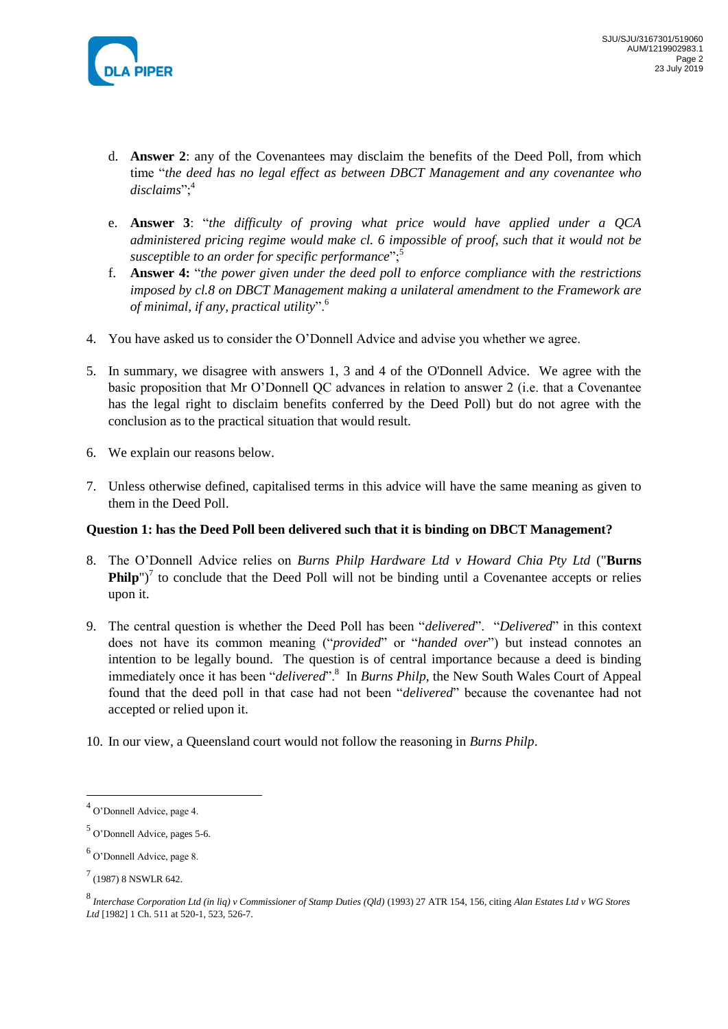

- d. **Answer 2**: any of the Covenantees may disclaim the benefits of the Deed Poll, from which time "*the deed has no legal effect as between DBCT Management and any covenantee who disclaims*";<sup>4</sup>
- e. **Answer 3**: "*the difficulty of proving what price would have applied under a QCA administered pricing regime would make cl. 6 impossible of proof, such that it would not be susceptible to an order for specific performance*";<sup>5</sup>
- f. **Answer 4:** "*the power given under the deed poll to enforce compliance with the restrictions imposed by cl.8 on DBCT Management making a unilateral amendment to the Framework are of minimal, if any, practical utility*".<sup>6</sup>
- 4. You have asked us to consider the O'Donnell Advice and advise you whether we agree.
- 5. In summary, we disagree with answers 1, 3 and 4 of the O'Donnell Advice. We agree with the basic proposition that Mr O'Donnell QC advances in relation to answer 2 (i.e. that a Covenantee has the legal right to disclaim benefits conferred by the Deed Poll) but do not agree with the conclusion as to the practical situation that would result.
- 6. We explain our reasons below.
- 7. Unless otherwise defined, capitalised terms in this advice will have the same meaning as given to them in the Deed Poll.

#### **Question 1: has the Deed Poll been delivered such that it is binding on DBCT Management?**

- 8. The O'Donnell Advice relies on *Burns Philp Hardware Ltd v Howard Chia Pty Ltd* ("**Burns Philp**")<sup>7</sup> to conclude that the Deed Poll will not be binding until a Covenantee accepts or relies upon it.
- 9. The central question is whether the Deed Poll has been "*delivered*". "*Delivered*" in this context does not have its common meaning ("*provided*" or "*handed over*") but instead connotes an intention to be legally bound. The question is of central importance because a deed is binding immediately once it has been "*delivered*".<sup>8</sup> In *Burns Philp*, the New South Wales Court of Appeal found that the deed poll in that case had not been "*delivered*" because the covenantee had not accepted or relied upon it.
- 10. In our view, a Queensland court would not follow the reasoning in *Burns Philp*.

 $\overline{\phantom{a}}$ 

<sup>4</sup> O'Donnell Advice, page 4.

<sup>5</sup> O'Donnell Advice, pages 5-6.

<sup>&</sup>lt;sup>6</sup> O'Donnell Advice, page 8.

 $^{7}$  (1987) 8 NSWLR 642.

<sup>8</sup> *Interchase Corporation Ltd (in liq) v Commissioner of Stamp Duties (Qld)* (1993) 27 ATR 154, 156, citing *Alan Estates Ltd v WG Stores Ltd* [1982] 1 Ch. 511 at 520-1, 523, 526-7.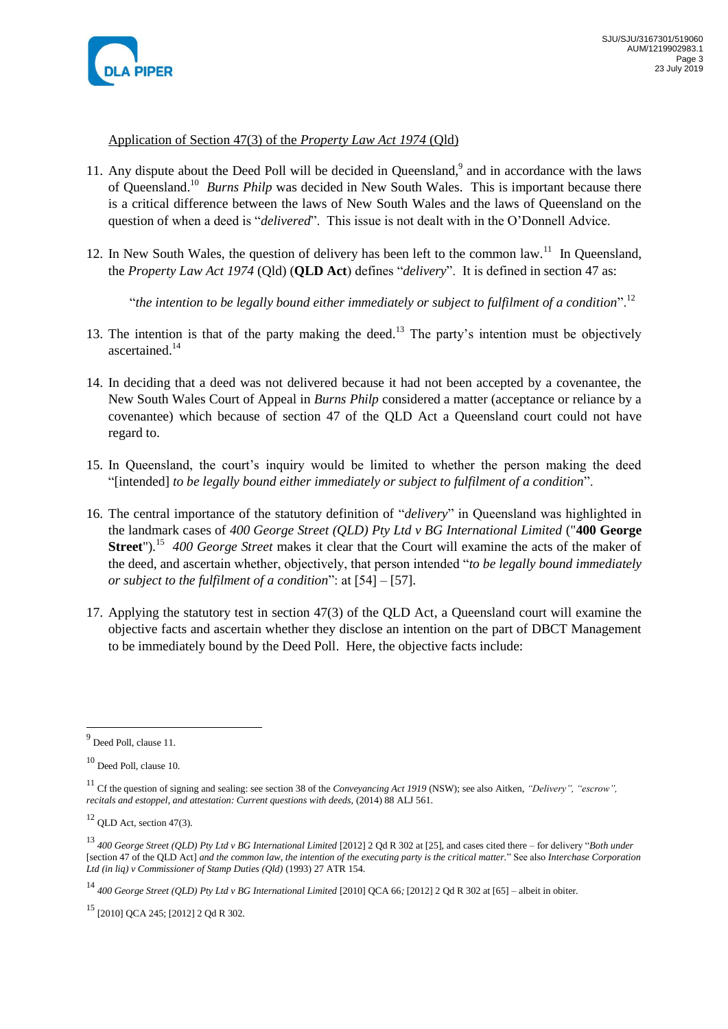

## Application of Section 47(3) of the *Property Law Act 1974* (Qld)

- 11. Any dispute about the Deed Poll will be decided in Queensland,<sup>9</sup> and in accordance with the laws of Queensland.<sup>10</sup> Burns Philp was decided in New South Wales. This is important because there is a critical difference between the laws of New South Wales and the laws of Queensland on the question of when a deed is "*delivered*". This issue is not dealt with in the O'Donnell Advice.
- 12. In New South Wales, the question of delivery has been left to the common law.<sup>11</sup> In Queensland, the *Property Law Act 1974* (Qld) (**QLD Act**) defines "*delivery*". It is defined in section 47 as:

"*the intention to be legally bound either immediately or subject to fulfilment of a condition*".<sup>12</sup>

- 13. The intention is that of the party making the deed.<sup>13</sup> The party's intention must be objectively ascertained.<sup>14</sup>
- 14. In deciding that a deed was not delivered because it had not been accepted by a covenantee, the New South Wales Court of Appeal in *Burns Philp* considered a matter (acceptance or reliance by a covenantee) which because of section 47 of the QLD Act a Queensland court could not have regard to.
- 15. In Queensland, the court's inquiry would be limited to whether the person making the deed "[intended] *to be legally bound either immediately or subject to fulfilment of a condition*".
- 16. The central importance of the statutory definition of "*delivery*" in Queensland was highlighted in the landmark cases of *400 George Street (QLD) Pty Ltd v BG International Limited* ("**400 George Street**").<sup>15</sup> 400 George Street makes it clear that the Court will examine the acts of the maker of the deed, and ascertain whether, objectively, that person intended "*to be legally bound immediately or subject to the fulfilment of a condition*": at [54] – [57].
- 17. Applying the statutory test in section 47(3) of the QLD Act, a Queensland court will examine the objective facts and ascertain whether they disclose an intention on the part of DBCT Management to be immediately bound by the Deed Poll. Here, the objective facts include:

<sup>&</sup>lt;sup>9</sup> Deed Poll, clause 11.

<sup>10</sup> Deed Poll, clause 10.

<sup>11</sup> Cf the question of signing and sealing: see section 38 of the *Conveyancing Act 1919* (NSW); see also Aitken, *"Delivery", "escrow", recitals and estoppel, and attestation: Current questions with deeds,* (2014) 88 ALJ 561.

 $12$  OLD Act, section 47(3).

<sup>13</sup> *400 George Street (QLD) Pty Ltd v BG International Limited* [2012] 2 Qd R 302 at [25], and cases cited there – for delivery "*Both under*  [section 47 of the QLD Act] *and the common law, the intention of the executing party is the critical matter.*" See also *Interchase Corporation Ltd (in liq) v Commissioner of Stamp Duties (Qld)* (1993) 27 ATR 154.

<sup>&</sup>lt;sup>14</sup> 400 George Street (QLD) Pty Ltd v BG International Limited [2010] QCA 66; [2012] 2 Qd R 302 at [65] – albeit in obiter.

<sup>15</sup> [2010] QCA 245; [2012] 2 Qd R 302.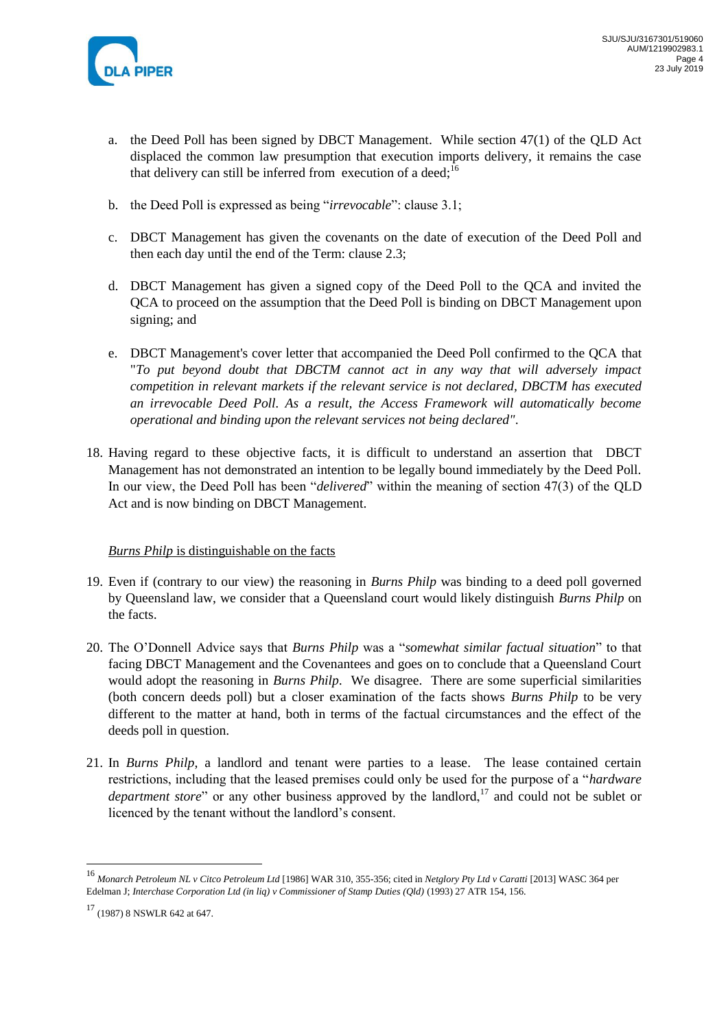

- a. the Deed Poll has been signed by DBCT Management. While section 47(1) of the QLD Act displaced the common law presumption that execution imports delivery, it remains the case that delivery can still be inferred from execution of a deed;<sup>16</sup>
- b. the Deed Poll is expressed as being "*irrevocable*": clause 3.1;
- c. DBCT Management has given the covenants on the date of execution of the Deed Poll and then each day until the end of the Term: clause 2.3;
- d. DBCT Management has given a signed copy of the Deed Poll to the QCA and invited the QCA to proceed on the assumption that the Deed Poll is binding on DBCT Management upon signing; and
- e. DBCT Management's cover letter that accompanied the Deed Poll confirmed to the QCA that "*To put beyond doubt that DBCTM cannot act in any way that will adversely impact competition in relevant markets if the relevant service is not declared, DBCTM has executed an irrevocable Deed Poll. As a result, the Access Framework will automatically become operational and binding upon the relevant services not being declared"*.
- 18. Having regard to these objective facts, it is difficult to understand an assertion that DBCT Management has not demonstrated an intention to be legally bound immediately by the Deed Poll. In our view, the Deed Poll has been "*delivered*" within the meaning of section 47(3) of the QLD Act and is now binding on DBCT Management.

# *Burns Philp* is distinguishable on the facts

- 19. Even if (contrary to our view) the reasoning in *Burns Philp* was binding to a deed poll governed by Queensland law, we consider that a Queensland court would likely distinguish *Burns Philp* on the facts.
- 20. The O'Donnell Advice says that *Burns Philp* was a "*somewhat similar factual situation*" to that facing DBCT Management and the Covenantees and goes on to conclude that a Queensland Court would adopt the reasoning in *Burns Philp*. We disagree. There are some superficial similarities (both concern deeds poll) but a closer examination of the facts shows *Burns Philp* to be very different to the matter at hand, both in terms of the factual circumstances and the effect of the deeds poll in question.
- 21. In *Burns Philp*, a landlord and tenant were parties to a lease. The lease contained certain restrictions, including that the leased premises could only be used for the purpose of a "*hardware department store*" or any other business approved by the landlord,<sup>17</sup> and could not be sublet or licenced by the tenant without the landlord's consent.

<sup>16</sup> *Monarch Petroleum NL v Citco Petroleum Ltd* [1986] WAR 310, 355-356; cited in *Netglory Pty Ltd v Caratti* [2013] WASC 364 per Edelman J; *Interchase Corporation Ltd (in liq) v Commissioner of Stamp Duties (Qld)* (1993) 27 ATR 154, 156.

<sup>17</sup> (1987) 8 NSWLR 642 at 647.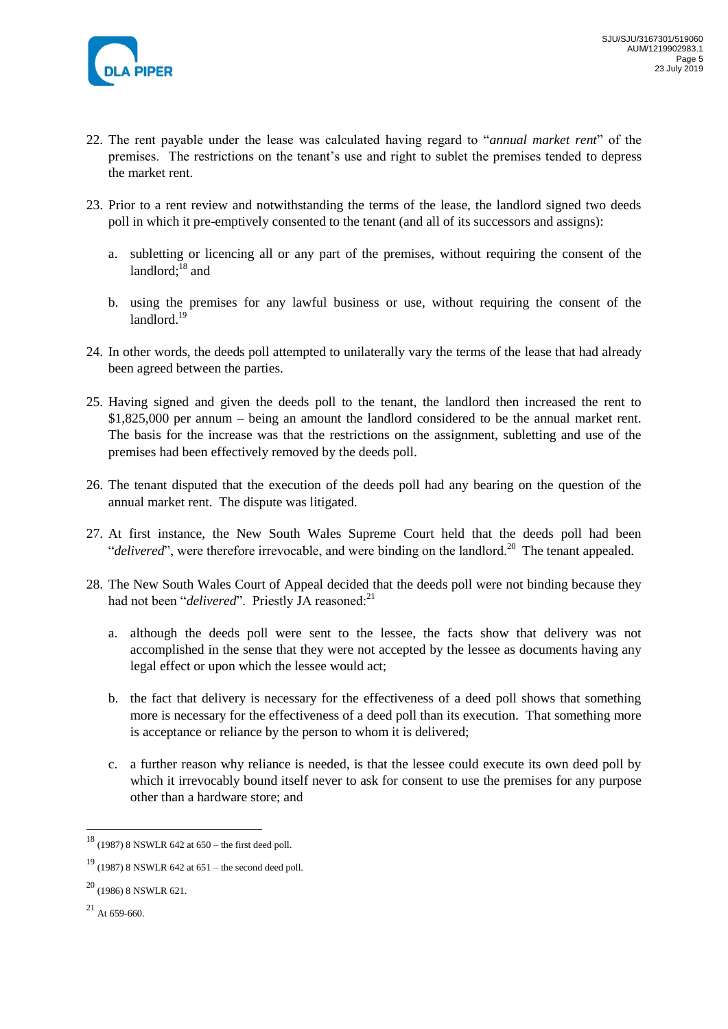

- 22. The rent payable under the lease was calculated having regard to "*annual market rent*" of the premises. The restrictions on the tenant's use and right to sublet the premises tended to depress the market rent.
- 23. Prior to a rent review and notwithstanding the terms of the lease, the landlord signed two deeds poll in which it pre-emptively consented to the tenant (and all of its successors and assigns):
	- a. subletting or licencing all or any part of the premises, without requiring the consent of the landlord: $18$  and
	- b. using the premises for any lawful business or use, without requiring the consent of the landlord.<sup>19</sup>
- 24. In other words, the deeds poll attempted to unilaterally vary the terms of the lease that had already been agreed between the parties.
- 25. Having signed and given the deeds poll to the tenant, the landlord then increased the rent to \$1,825,000 per annum – being an amount the landlord considered to be the annual market rent. The basis for the increase was that the restrictions on the assignment, subletting and use of the premises had been effectively removed by the deeds poll.
- 26. The tenant disputed that the execution of the deeds poll had any bearing on the question of the annual market rent. The dispute was litigated.
- 27. At first instance, the New South Wales Supreme Court held that the deeds poll had been "*delivered*", were therefore irrevocable, and were binding on the landlord.<sup>20</sup> The tenant appealed.
- 28. The New South Wales Court of Appeal decided that the deeds poll were not binding because they had not been "*delivered*". Priestly JA reasoned:<sup>21</sup>
	- a. although the deeds poll were sent to the lessee, the facts show that delivery was not accomplished in the sense that they were not accepted by the lessee as documents having any legal effect or upon which the lessee would act;
	- b. the fact that delivery is necessary for the effectiveness of a deed poll shows that something more is necessary for the effectiveness of a deed poll than its execution. That something more is acceptance or reliance by the person to whom it is delivered;
	- c. a further reason why reliance is needed, is that the lessee could execute its own deed poll by which it irrevocably bound itself never to ask for consent to use the premises for any purpose other than a hardware store; and

<sup>18</sup> (1987) 8 NSWLR 642 at 650 – the first deed poll.

 $19$  (1987) 8 NSWLR 642 at 651 – the second deed poll.

 $^{20}$  (1986) 8 NSWLR 621.

 $^{21}$  At 659-660.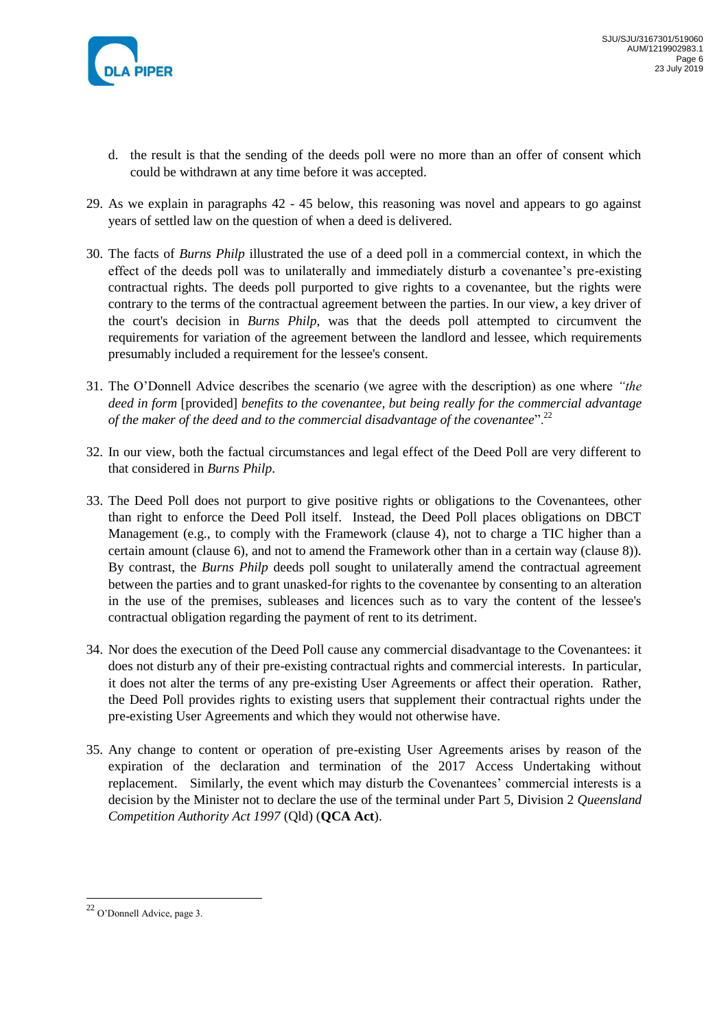

- d. the result is that the sending of the deeds poll were no more than an offer of consent which could be withdrawn at any time before it was accepted.
- 29. As we explain in paragraphs 42 45 below, this reasoning was novel and appears to go against years of settled law on the question of when a deed is delivered.
- 30. The facts of *Burns Philp* illustrated the use of a deed poll in a commercial context, in which the effect of the deeds poll was to unilaterally and immediately disturb a covenantee's pre-existing contractual rights. The deeds poll purported to give rights to a covenantee, but the rights were contrary to the terms of the contractual agreement between the parties. In our view, a key driver of the court's decision in *Burns Philp*, was that the deeds poll attempted to circumvent the requirements for variation of the agreement between the landlord and lessee, which requirements presumably included a requirement for the lessee's consent.
- 31. The O'Donnell Advice describes the scenario (we agree with the description) as one where *"the deed in form* [provided] *benefits to the covenantee, but being really for the commercial advantage of the maker of the deed and to the commercial disadvantage of the covenantee*".<sup>22</sup>
- 32. In our view, both the factual circumstances and legal effect of the Deed Poll are very different to that considered in *Burns Philp*.
- 33. The Deed Poll does not purport to give positive rights or obligations to the Covenantees, other than right to enforce the Deed Poll itself. Instead, the Deed Poll places obligations on DBCT Management (e.g., to comply with the Framework (clause 4), not to charge a TIC higher than a certain amount (clause 6), and not to amend the Framework other than in a certain way (clause 8)). By contrast, the *Burns Philp* deeds poll sought to unilaterally amend the contractual agreement between the parties and to grant unasked-for rights to the covenantee by consenting to an alteration in the use of the premises, subleases and licences such as to vary the content of the lessee's contractual obligation regarding the payment of rent to its detriment.
- 34. Nor does the execution of the Deed Poll cause any commercial disadvantage to the Covenantees: it does not disturb any of their pre-existing contractual rights and commercial interests. In particular, it does not alter the terms of any pre-existing User Agreements or affect their operation. Rather, the Deed Poll provides rights to existing users that supplement their contractual rights under the pre-existing User Agreements and which they would not otherwise have.
- 35. Any change to content or operation of pre-existing User Agreements arises by reason of the expiration of the declaration and termination of the 2017 Access Undertaking without replacement. Similarly, the event which may disturb the Covenantees' commercial interests is a decision by the Minister not to declare the use of the terminal under Part 5, Division 2 *Queensland Competition Authority Act 1997* (Qld) (**QCA Act**).

 $22$  O'Donnell Advice, page 3.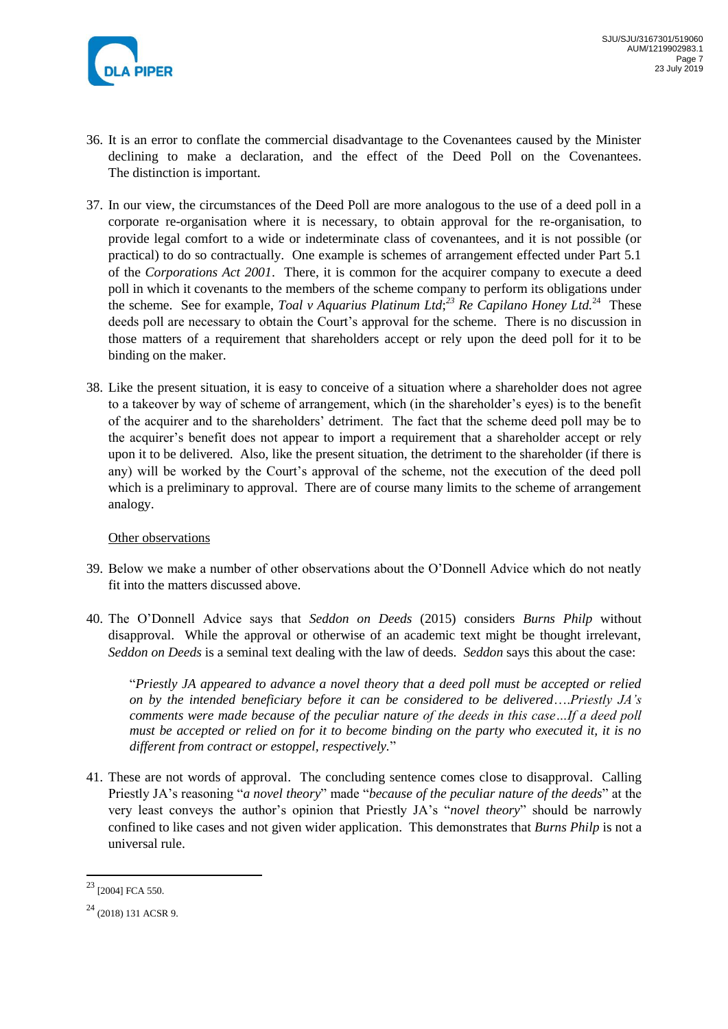

- 36. It is an error to conflate the commercial disadvantage to the Covenantees caused by the Minister declining to make a declaration, and the effect of the Deed Poll on the Covenantees. The distinction is important.
- 37. In our view, the circumstances of the Deed Poll are more analogous to the use of a deed poll in a corporate re-organisation where it is necessary, to obtain approval for the re-organisation, to provide legal comfort to a wide or indeterminate class of covenantees, and it is not possible (or practical) to do so contractually. One example is schemes of arrangement effected under Part 5.1 of the *Corporations Act 2001*. There, it is common for the acquirer company to execute a deed poll in which it covenants to the members of the scheme company to perform its obligations under the scheme. See for example, *Toal v Aquarius Platinum Ltd*;<sup>23</sup> *Re Capilano Honey Ltd*.<sup>24</sup> These deeds poll are necessary to obtain the Court's approval for the scheme. There is no discussion in those matters of a requirement that shareholders accept or rely upon the deed poll for it to be binding on the maker.
- 38. Like the present situation, it is easy to conceive of a situation where a shareholder does not agree to a takeover by way of scheme of arrangement, which (in the shareholder's eyes) is to the benefit of the acquirer and to the shareholders' detriment. The fact that the scheme deed poll may be to the acquirer's benefit does not appear to import a requirement that a shareholder accept or rely upon it to be delivered. Also, like the present situation, the detriment to the shareholder (if there is any) will be worked by the Court's approval of the scheme, not the execution of the deed poll which is a preliminary to approval. There are of course many limits to the scheme of arrangement analogy.

# Other observations

- 39. Below we make a number of other observations about the O'Donnell Advice which do not neatly fit into the matters discussed above.
- 40. The O'Donnell Advice says that *Seddon on Deeds* (2015) considers *Burns Philp* without disapproval. While the approval or otherwise of an academic text might be thought irrelevant, *Seddon on Deeds* is a seminal text dealing with the law of deeds. *Seddon* says this about the case:

"*Priestly JA appeared to advance a novel theory that a deed poll must be accepted or relied on by the intended beneficiary before it can be considered to be delivered*….*Priestly JA's comments were made because of the peculiar nature of the deeds in this case…If a deed poll must be accepted or relied on for it to become binding on the party who executed it, it is no different from contract or estoppel, respectively.*"

41. These are not words of approval. The concluding sentence comes close to disapproval. Calling Priestly JA's reasoning "*a novel theory*" made "*because of the peculiar nature of the deeds*" at the very least conveys the author's opinion that Priestly JA's "*novel theory*" should be narrowly confined to like cases and not given wider application. This demonstrates that *Burns Philp* is not a universal rule.

<sup>&</sup>lt;sup>23</sup> [2004] FCA 550.

<sup>24</sup> (2018) 131 ACSR 9.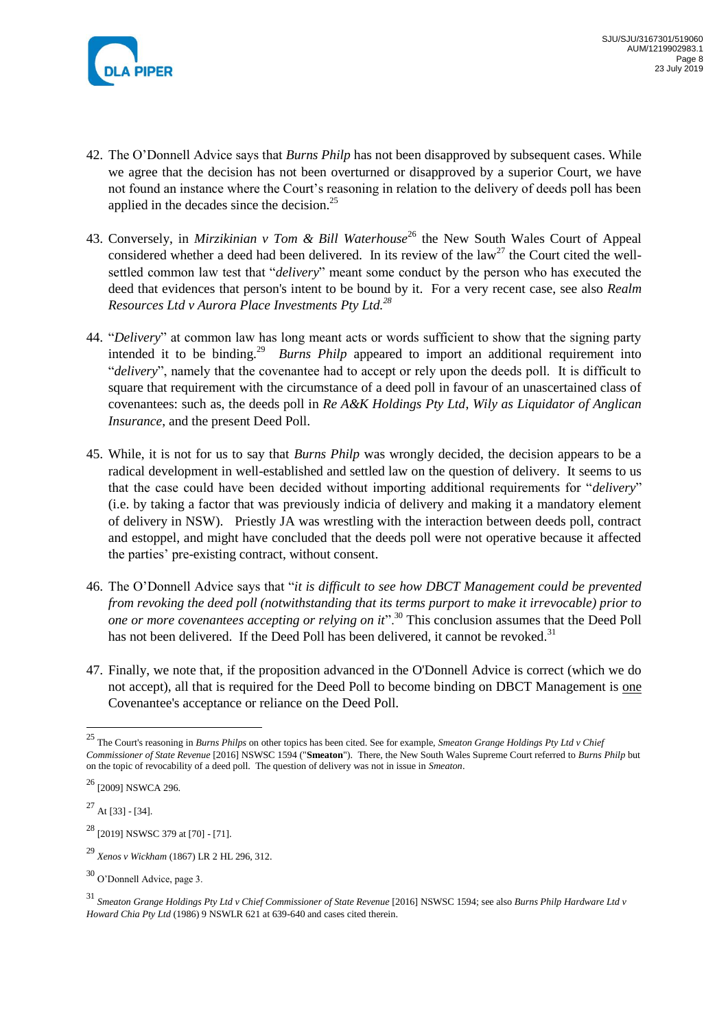

- 42. The O'Donnell Advice says that *Burns Philp* has not been disapproved by subsequent cases. While we agree that the decision has not been overturned or disapproved by a superior Court, we have not found an instance where the Court's reasoning in relation to the delivery of deeds poll has been applied in the decades since the decision. $25$
- 43. Conversely, in *Mirzikinian v Tom & Bill Waterhouse*<sup>26</sup> the New South Wales Court of Appeal considered whether a deed had been delivered. In its review of the law<sup>27</sup> the Court cited the wellsettled common law test that "*delivery*" meant some conduct by the person who has executed the deed that evidences that person's intent to be bound by it. For a very recent case, see also *Realm Resources Ltd v Aurora Place Investments Pty Ltd.<sup>28</sup>*
- 44. "*Delivery*" at common law has long meant acts or words sufficient to show that the signing party intended it to be binding.<sup>29</sup> *Burns Philp* appeared to import an additional requirement into "*delivery*", namely that the covenantee had to accept or rely upon the deeds poll. It is difficult to square that requirement with the circumstance of a deed poll in favour of an unascertained class of covenantees: such as, the deeds poll in *Re A&K Holdings Pty Ltd*, *Wily as Liquidator of Anglican Insurance*, and the present Deed Poll.
- 45. While, it is not for us to say that *Burns Philp* was wrongly decided, the decision appears to be a radical development in well-established and settled law on the question of delivery. It seems to us that the case could have been decided without importing additional requirements for "*delivery*" (i.e. by taking a factor that was previously indicia of delivery and making it a mandatory element of delivery in NSW). Priestly JA was wrestling with the interaction between deeds poll, contract and estoppel, and might have concluded that the deeds poll were not operative because it affected the parties' pre-existing contract, without consent.
- 46. The O'Donnell Advice says that "*it is difficult to see how DBCT Management could be prevented from revoking the deed poll (notwithstanding that its terms purport to make it irrevocable) prior to one or more covenantees accepting or relying on it*".<sup>30</sup> This conclusion assumes that the Deed Poll has not been delivered. If the Deed Poll has been delivered, it cannot be revoked.<sup>31</sup>
- 47. Finally, we note that, if the proposition advanced in the O'Donnell Advice is correct (which we do not accept), all that is required for the Deed Poll to become binding on DBCT Management is one Covenantee's acceptance or reliance on the Deed Poll.

<sup>25</sup> The Court's reasoning in *Burns Philps* on other topics has been cited. See for example, *Smeaton Grange Holdings Pty Ltd v Chief Commissioner of State Revenue* [2016] NSWSC 1594 ("**Smeaton**"). There, the New South Wales Supreme Court referred to *Burns Philp* but on the topic of revocability of a deed poll. The question of delivery was not in issue in *Smeaton*.

<sup>&</sup>lt;sup>26</sup> [2009] NSWCA 296.

 $^{27}$  At [33] - [34].

<sup>28</sup> [2019] NSWSC 379 at [70] - [71].

<sup>29</sup> *Xenos v Wickham* (1867) LR 2 HL 296, 312.

<sup>30</sup> O'Donnell Advice, page 3.

<sup>&</sup>lt;sup>31</sup> Smeaton Grange Holdings Pty Ltd v Chief Commissioner of State Revenue [2016] NSWSC 1594; see also Burns Philp Hardware Ltd v *Howard Chia Pty Ltd* (1986) 9 NSWLR 621 at 639-640 and cases cited therein.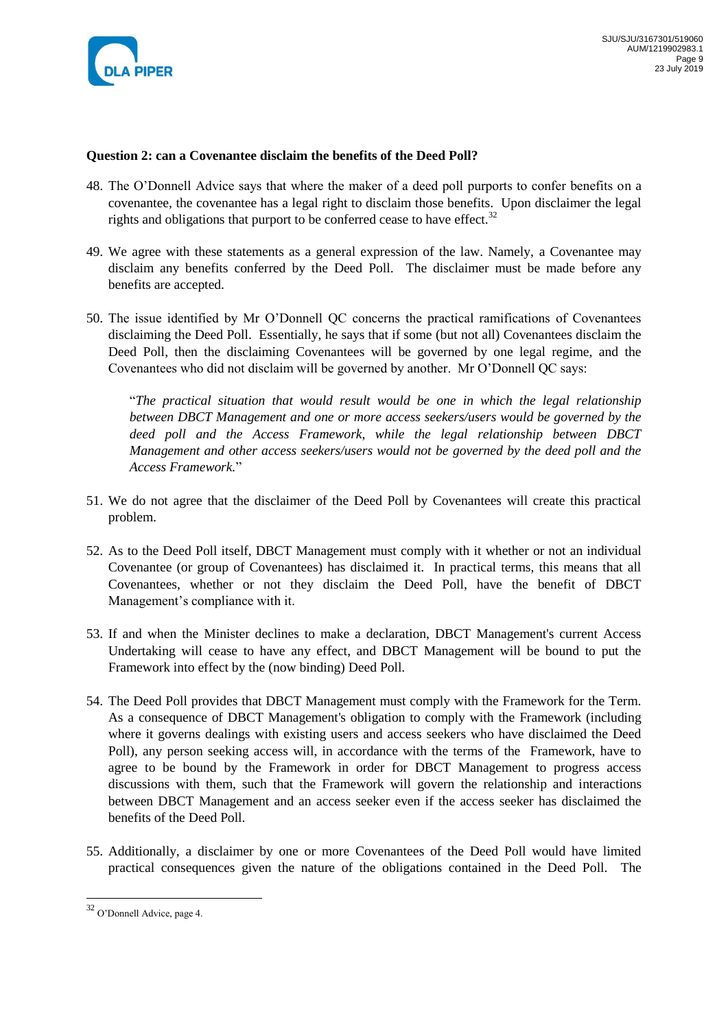

#### **Question 2: can a Covenantee disclaim the benefits of the Deed Poll?**

- 48. The O'Donnell Advice says that where the maker of a deed poll purports to confer benefits on a covenantee, the covenantee has a legal right to disclaim those benefits. Upon disclaimer the legal rights and obligations that purport to be conferred cease to have effect. $32$
- 49. We agree with these statements as a general expression of the law. Namely, a Covenantee may disclaim any benefits conferred by the Deed Poll. The disclaimer must be made before any benefits are accepted.
- 50. The issue identified by Mr O'Donnell QC concerns the practical ramifications of Covenantees disclaiming the Deed Poll. Essentially, he says that if some (but not all) Covenantees disclaim the Deed Poll, then the disclaiming Covenantees will be governed by one legal regime, and the Covenantees who did not disclaim will be governed by another. Mr O'Donnell QC says:

"*The practical situation that would result would be one in which the legal relationship between DBCT Management and one or more access seekers/users would be governed by the deed poll and the Access Framework, while the legal relationship between DBCT Management and other access seekers/users would not be governed by the deed poll and the Access Framework.*"

- 51. We do not agree that the disclaimer of the Deed Poll by Covenantees will create this practical problem.
- 52. As to the Deed Poll itself, DBCT Management must comply with it whether or not an individual Covenantee (or group of Covenantees) has disclaimed it. In practical terms, this means that all Covenantees, whether or not they disclaim the Deed Poll, have the benefit of DBCT Management's compliance with it.
- 53. If and when the Minister declines to make a declaration, DBCT Management's current Access Undertaking will cease to have any effect, and DBCT Management will be bound to put the Framework into effect by the (now binding) Deed Poll.
- 54. The Deed Poll provides that DBCT Management must comply with the Framework for the Term. As a consequence of DBCT Management's obligation to comply with the Framework (including where it governs dealings with existing users and access seekers who have disclaimed the Deed Poll), any person seeking access will, in accordance with the terms of the Framework, have to agree to be bound by the Framework in order for DBCT Management to progress access discussions with them, such that the Framework will govern the relationship and interactions between DBCT Management and an access seeker even if the access seeker has disclaimed the benefits of the Deed Poll.
- 55. Additionally, a disclaimer by one or more Covenantees of the Deed Poll would have limited practical consequences given the nature of the obligations contained in the Deed Poll. The

 $32$  O'Donnell Advice, page 4.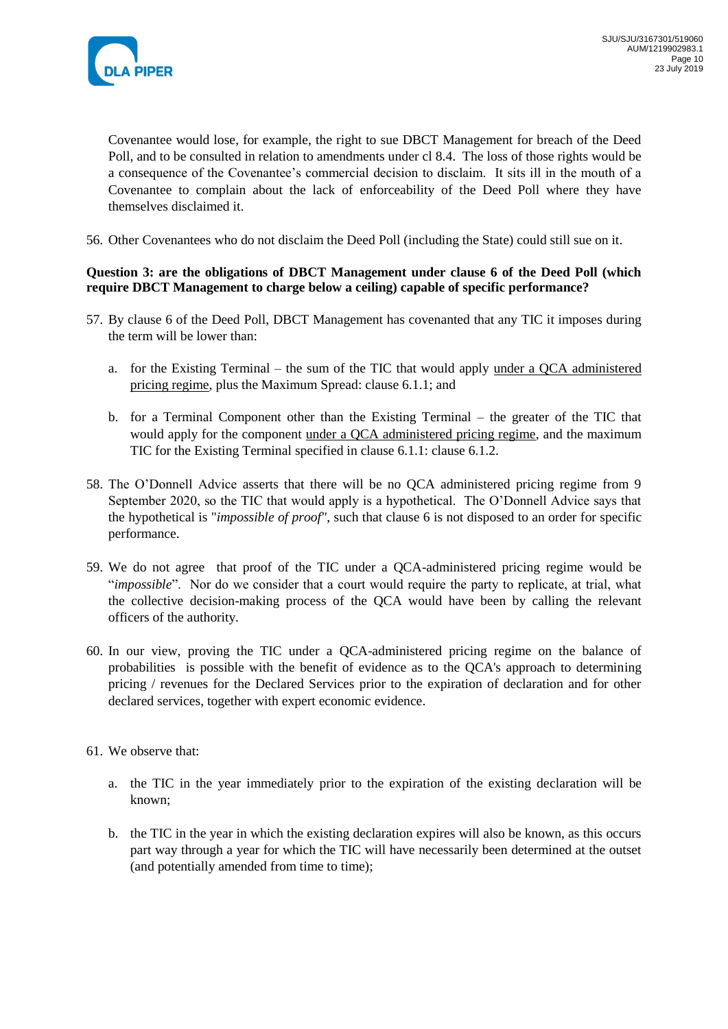

Covenantee would lose, for example, the right to sue DBCT Management for breach of the Deed Poll, and to be consulted in relation to amendments under cl 8.4. The loss of those rights would be a consequence of the Covenantee's commercial decision to disclaim. It sits ill in the mouth of a Covenantee to complain about the lack of enforceability of the Deed Poll where they have themselves disclaimed it.

56. Other Covenantees who do not disclaim the Deed Poll (including the State) could still sue on it.

## **Question 3: are the obligations of DBCT Management under clause 6 of the Deed Poll (which require DBCT Management to charge below a ceiling) capable of specific performance?**

- 57. By clause 6 of the Deed Poll, DBCT Management has covenanted that any TIC it imposes during the term will be lower than:
	- a. for the Existing Terminal the sum of the TIC that would apply under a QCA administered pricing regime, plus the Maximum Spread: clause 6.1.1; and
	- b. for a Terminal Component other than the Existing Terminal the greater of the TIC that would apply for the component under a QCA administered pricing regime, and the maximum TIC for the Existing Terminal specified in clause 6.1.1: clause 6.1.2.
- 58. The O'Donnell Advice asserts that there will be no QCA administered pricing regime from 9 September 2020, so the TIC that would apply is a hypothetical. The O'Donnell Advice says that the hypothetical is "*impossible of proof"*, such that clause 6 is not disposed to an order for specific performance.
- 59. We do not agree that proof of the TIC under a QCA-administered pricing regime would be "*impossible*". Nor do we consider that a court would require the party to replicate, at trial, what the collective decision-making process of the QCA would have been by calling the relevant officers of the authority.
- 60. In our view, proving the TIC under a QCA-administered pricing regime on the balance of probabilities is possible with the benefit of evidence as to the QCA's approach to determining pricing / revenues for the Declared Services prior to the expiration of declaration and for other declared services, together with expert economic evidence.
- 61. We observe that:
	- a. the TIC in the year immediately prior to the expiration of the existing declaration will be known;
	- b. the TIC in the year in which the existing declaration expires will also be known, as this occurs part way through a year for which the TIC will have necessarily been determined at the outset (and potentially amended from time to time);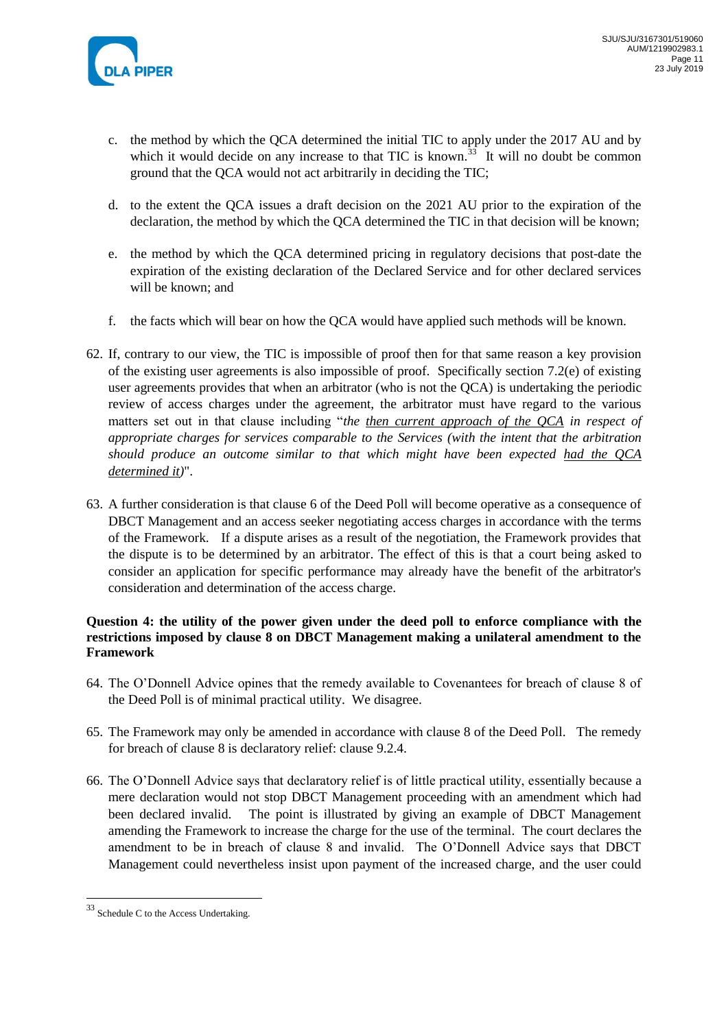

- c. the method by which the QCA determined the initial TIC to apply under the 2017 AU and by which it would decide on any increase to that TIC is known.<sup>33</sup> It will no doubt be common ground that the QCA would not act arbitrarily in deciding the TIC;
- d. to the extent the QCA issues a draft decision on the 2021 AU prior to the expiration of the declaration, the method by which the QCA determined the TIC in that decision will be known;
- e. the method by which the QCA determined pricing in regulatory decisions that post-date the expiration of the existing declaration of the Declared Service and for other declared services will be known; and
- f. the facts which will bear on how the QCA would have applied such methods will be known.
- 62. If, contrary to our view, the TIC is impossible of proof then for that same reason a key provision of the existing user agreements is also impossible of proof. Specifically section 7.2(e) of existing user agreements provides that when an arbitrator (who is not the QCA) is undertaking the periodic review of access charges under the agreement, the arbitrator must have regard to the various matters set out in that clause including "*the then current approach of the QCA in respect of appropriate charges for services comparable to the Services (with the intent that the arbitration should produce an outcome similar to that which might have been expected had the QCA determined it)*".
- 63. A further consideration is that clause 6 of the Deed Poll will become operative as a consequence of DBCT Management and an access seeker negotiating access charges in accordance with the terms of the Framework. If a dispute arises as a result of the negotiation, the Framework provides that the dispute is to be determined by an arbitrator. The effect of this is that a court being asked to consider an application for specific performance may already have the benefit of the arbitrator's consideration and determination of the access charge.

## **Question 4: the utility of the power given under the deed poll to enforce compliance with the restrictions imposed by clause 8 on DBCT Management making a unilateral amendment to the Framework**

- 64. The O'Donnell Advice opines that the remedy available to Covenantees for breach of clause 8 of the Deed Poll is of minimal practical utility. We disagree.
- 65. The Framework may only be amended in accordance with clause 8 of the Deed Poll. The remedy for breach of clause 8 is declaratory relief: clause 9.2.4.
- 66. The O'Donnell Advice says that declaratory relief is of little practical utility, essentially because a mere declaration would not stop DBCT Management proceeding with an amendment which had been declared invalid. The point is illustrated by giving an example of DBCT Management amending the Framework to increase the charge for the use of the terminal. The court declares the amendment to be in breach of clause 8 and invalid. The O'Donnell Advice says that DBCT Management could nevertheless insist upon payment of the increased charge, and the user could

<sup>&</sup>lt;sup>33</sup> Schedule C to the Access Undertaking.